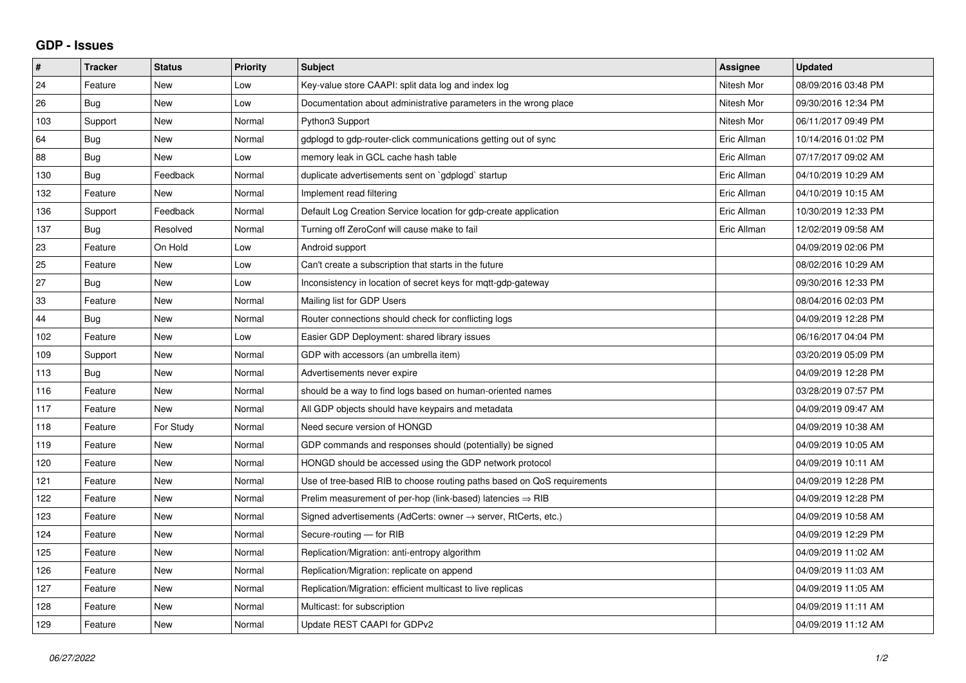## **GDP - Issues**

| #   | <b>Tracker</b> | <b>Status</b> | <b>Priority</b> | <b>Subject</b>                                                             | Assignee    | <b>Updated</b>      |
|-----|----------------|---------------|-----------------|----------------------------------------------------------------------------|-------------|---------------------|
| 24  | Feature        | <b>New</b>    | Low             | Key-value store CAAPI: split data log and index log                        | Nitesh Mor  | 08/09/2016 03:48 PM |
| 26  | Bug            | <b>New</b>    | Low             | Documentation about administrative parameters in the wrong place           | Nitesh Mor  | 09/30/2016 12:34 PM |
| 103 | Support        | <b>New</b>    | Normal          | Python3 Support                                                            | Nitesh Mor  | 06/11/2017 09:49 PM |
| 64  | Bug            | <b>New</b>    | Normal          | gdplogd to gdp-router-click communications getting out of sync             | Eric Allman | 10/14/2016 01:02 PM |
| 88  | Bug            | <b>New</b>    | Low             | memory leak in GCL cache hash table                                        | Eric Allman | 07/17/2017 09:02 AM |
| 130 | Bug            | Feedback      | Normal          | duplicate advertisements sent on `gdplogd` startup                         | Eric Allman | 04/10/2019 10:29 AM |
| 132 | Feature        | <b>New</b>    | Normal          | Implement read filtering                                                   | Eric Allman | 04/10/2019 10:15 AM |
| 136 | Support        | Feedback      | Normal          | Default Log Creation Service location for gdp-create application           | Eric Allman | 10/30/2019 12:33 PM |
| 137 | Bug            | Resolved      | Normal          | Turning off ZeroConf will cause make to fail                               | Eric Allman | 12/02/2019 09:58 AM |
| 23  | Feature        | On Hold       | Low             | Android support                                                            |             | 04/09/2019 02:06 PM |
| 25  | Feature        | <b>New</b>    | Low             | Can't create a subscription that starts in the future                      |             | 08/02/2016 10:29 AM |
| 27  | Bug            | New           | Low             | Inconsistency in location of secret keys for mqtt-gdp-gateway              |             | 09/30/2016 12:33 PM |
| 33  | Feature        | <b>New</b>    | Normal          | Mailing list for GDP Users                                                 |             | 08/04/2016 02:03 PM |
| 44  | Bug            | <b>New</b>    | Normal          | Router connections should check for conflicting logs                       |             | 04/09/2019 12:28 PM |
| 102 | Feature        | <b>New</b>    | Low             | Easier GDP Deployment: shared library issues                               |             | 06/16/2017 04:04 PM |
| 109 | Support        | <b>New</b>    | Normal          | GDP with accessors (an umbrella item)                                      |             | 03/20/2019 05:09 PM |
| 113 | Bug            | <b>New</b>    | Normal          | Advertisements never expire                                                |             | 04/09/2019 12:28 PM |
| 116 | Feature        | <b>New</b>    | Normal          | should be a way to find logs based on human-oriented names                 |             | 03/28/2019 07:57 PM |
| 117 | Feature        | New           | Normal          | All GDP objects should have keypairs and metadata                          |             | 04/09/2019 09:47 AM |
| 118 | Feature        | For Study     | Normal          | Need secure version of HONGD                                               |             | 04/09/2019 10:38 AM |
| 119 | Feature        | <b>New</b>    | Normal          | GDP commands and responses should (potentially) be signed                  |             | 04/09/2019 10:05 AM |
| 120 | Feature        | <b>New</b>    | Normal          | HONGD should be accessed using the GDP network protocol                    |             | 04/09/2019 10:11 AM |
| 121 | Feature        | <b>New</b>    | Normal          | Use of tree-based RIB to choose routing paths based on QoS requirements    |             | 04/09/2019 12:28 PM |
| 122 | Feature        | <b>New</b>    | Normal          | Prelim measurement of per-hop (link-based) latencies $\Rightarrow$ RIB     |             | 04/09/2019 12:28 PM |
| 123 | Feature        | <b>New</b>    | Normal          | Signed advertisements (AdCerts: owner $\rightarrow$ server, RtCerts, etc.) |             | 04/09/2019 10:58 AM |
| 124 | Feature        | <b>New</b>    | Normal          | Secure-routing - for RIB                                                   |             | 04/09/2019 12:29 PM |
| 125 | Feature        | <b>New</b>    | Normal          | Replication/Migration: anti-entropy algorithm                              |             | 04/09/2019 11:02 AM |
| 126 | Feature        | <b>New</b>    | Normal          | Replication/Migration: replicate on append                                 |             | 04/09/2019 11:03 AM |
| 127 | Feature        | <b>New</b>    | Normal          | Replication/Migration: efficient multicast to live replicas                |             | 04/09/2019 11:05 AM |
| 128 | Feature        | <b>New</b>    | Normal          | Multicast: for subscription                                                |             | 04/09/2019 11:11 AM |
| 129 | Feature        | New           | Normal          | Update REST CAAPI for GDPv2                                                |             | 04/09/2019 11:12 AM |